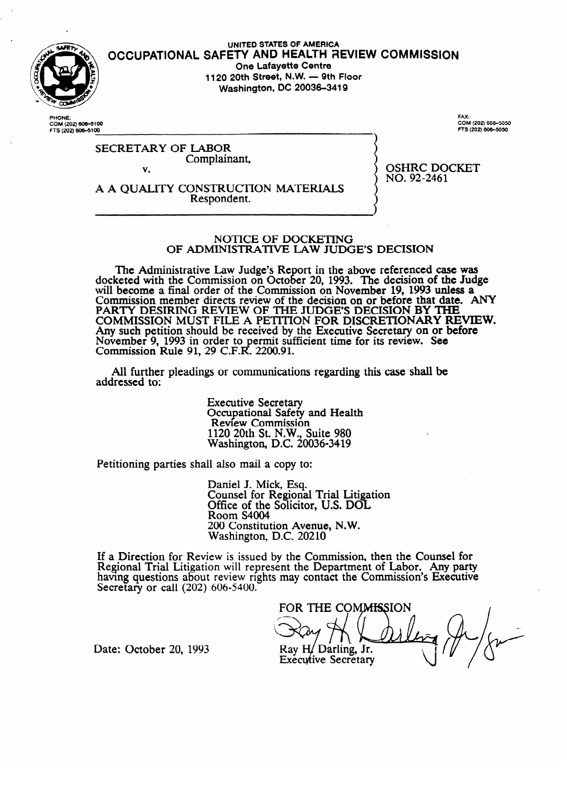

# **UNITED STATES OF AMERICA OCCUPATIONAL SAFETY AND HEALTH aEVIEW COMMISSION One Lafayette Centre**<br>**1120 20th Street, N.W. — 9th Floor 1120 20th Street, N.W. - 9th Floor Washington, DC 20036-3419**

PHONE: COM (202) **606–**51<br>FTS (202) **606–5**10 **FAX:**  FTS (202) 606-5050

# SECRETARY Complair Complainant,

OSHRC DOCKET<br>NO. 92-2461  $\frac{1}{2}$ 

v. A A QUALITY CONSTRUCTION MATERIALS Respondent. Respondent.

#### NOTICE OF DOCKETING OF ADMINISTRATIVE LAW JUDGE'S DECISION

OF ADMINISTRATIVE LAW JUDGE'S DECISION  $\epsilon$  and with the Commission on October 20, 1993. The decision of the Judge will become a final order of the Commission on November 19, 1993 unless a commission of the Judge of the Judge Commission member directs review of the decision on or before that date. ANY PARTY DESIRING REVIEW OF THE JUDGE'S DECISION BY THE PAKI Y DESIKING KEVIEW OF THE JUDGE'S DECISION BY THE  $\overline{C}$  and the deview of  $\overline{C}$ COMMISSION MOST FILE A PETITION FOR DISCRETIONART RE Ally such petition should be received by the Executive Secretary on or before November 9, 1995 in order to permit sufficient time for its review. See<br>Commission Rule 01, 20 C F R, 2200.01 Commission Rule 91, 29 C.F.R. 2200.91.

All further pleadings or communications regarding this case shall be  $A$ l further pleadings or communications regarding the communications regarding the case shall be shall be shall be shall be shall be shall be shall be shall be shall be shall be shall be shall be shall be shall be shall

> **Executive Secretary** Occupational Safety and Health<br>Review Commission  $1120$  20th St. N.W., Suite 980 Nashington, D.C. 200 1120 20th St. N.W., Suite 980

Petitioning parties shall also mail a copy to:

Daniel J. Mick, Esq.<br>Counsel for Regional Trial Litigation Office of the Solicitor, U.S. DOL Room S4004 200 Constitution Avenue, N.W. Washington, D.C. 20210

 $2000$  Constitution Avenue, N.W.  $ew$  is issued by the Comi having questions about review rights may contact the Commission's Executive Secretary or call  $(202)$  606-5400.

FOR THE COMMISSION Ray H/Darling, Jr. **Executive Secretary** 

Date: October 20, 1993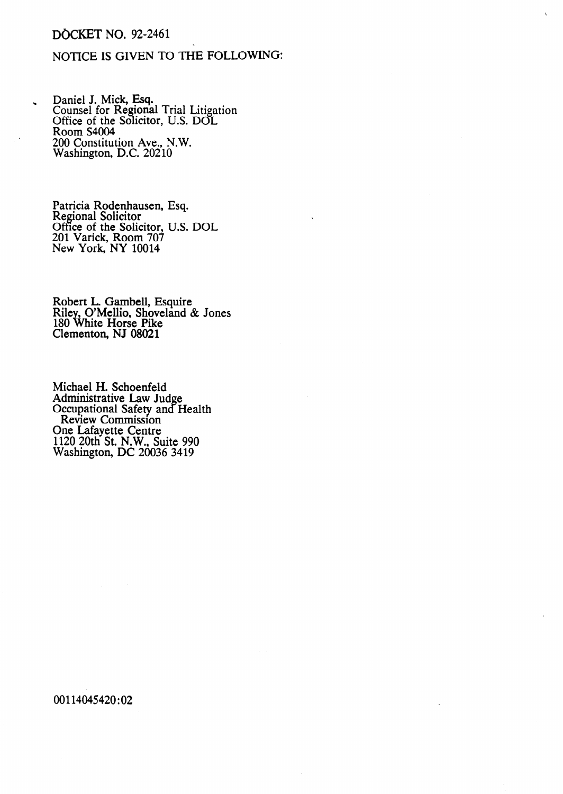# DOCKET NO. 92-2461

# NOTICE IS GIVEN TO THE FOLLOWING:

Daniel J. Mick, Esq. Counsel for Regional Trial Litigation Office of the Solicitor, U.S. DOL Room S4004 Room S4004<br>200 Constitution Ave., N.W. Washington, D.C. 20210

> Patricia Rodenhausen, Regional Solicitor Office of the Solicitor, 201 Varick, Room 707 New York, NY 10014 Esq. U.S. DOL

Robert L. Gambell, Esquire Riley, O'Mellio, Shoveland & Jones 180 White Horse Pike Clementon, NJ 08021

Michael H. Schoenfeld Administrative Law Jud Occupational Safety and e Health Review Commission One Lafayette Centre 1120 20th St. N.W., Suite 990 Washington, DC 20036 3419

00114045420:02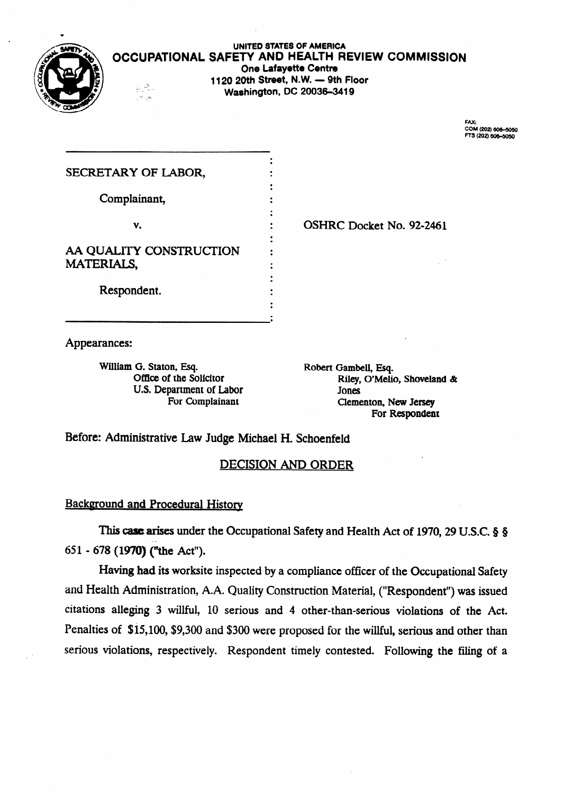

#### **UNITED STATES OF AMERICA OCCUPATIONAL SAFETY AND HEALTH REVIEW COMMISSION One Lafayette Centre 1120 20th Street, N.W. - 9th Floor Washington, DC 20036-3419**

FAX:<br>COM (202) 606-5050<br>FTS (202) 606-5050

| SECRETARY OF LABOR,     |  |
|-------------------------|--|
| Complainant,            |  |
| v.                      |  |
| AA QUALITY CONSTRUCTION |  |
| <b>MATERIALS,</b>       |  |
| Respondent.             |  |
|                         |  |

. OSHRC Docket No. **92-2461** 

Appearances:

William G. Staton, Esq. Office of the Solicitor U.S. Department of Labor For Complainant

Robert Gambell, Esq. Riley, O'Melio, Shoveland & Jones Clementon, New Jersey For Respondent

**Before:** Administrative Law Judge **Michael** H. **Schoenfeld** 

# DECISION AND ORDER

# **Background and Procedural History**

This case arises under the Occupational Safety and Health Act of 1970, 29 U.S.C. 8 8 651 - 678 **(1970) (the** Act").

Having **had** its worksite inspected by a compliance officer of the Occupational Safety and Health Administration, A.A. Quality Construction Material, ("Respondent") was issued citations alleging 3 willful, 10 serious and 4 other-than-serious violations of the Act. Penalties of \$15,100, \$9,300 and \$300 were proposed for the willful, serious and other than serious violations, respectively. Respondent timely contested. Following the filing of a